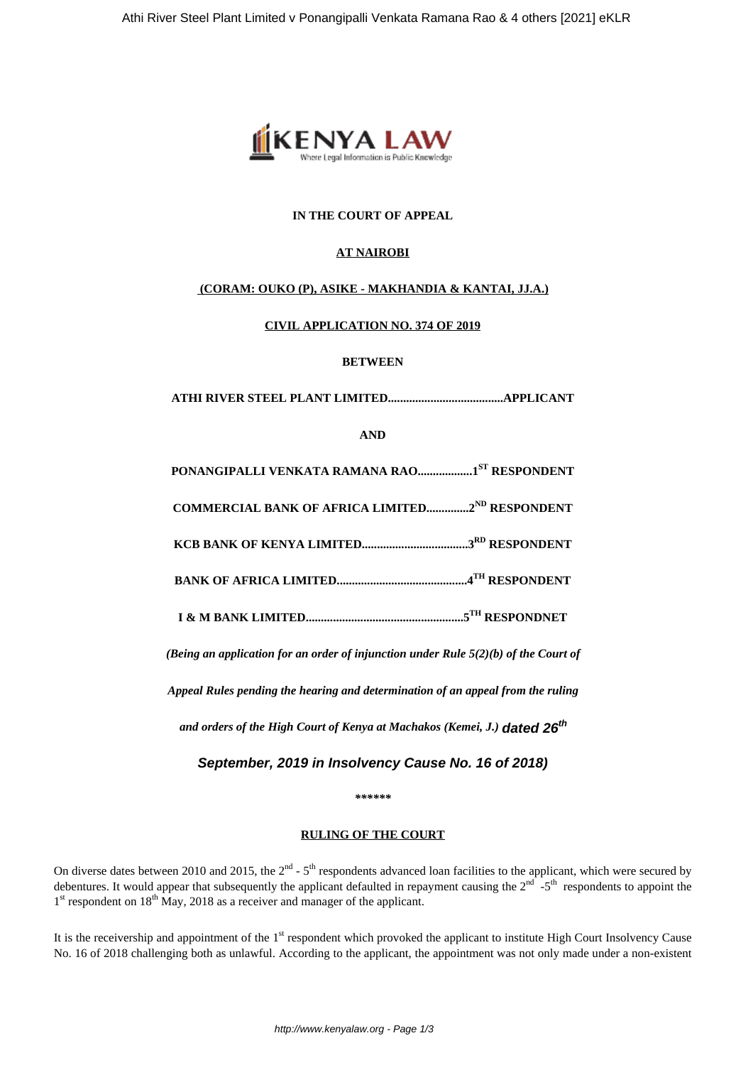

## **IN THE COURT OF APPEAL**

# **AT NAIROBI**

### **(CORAM: OUKO (P), ASIKE - MAKHANDIA & KANTAI, JJ.A.)**

### **CIVIL APPLICATION NO. 374 OF 2019**

### **BETWEEN**

**ATHI RIVER STEEL PLANT LIMITED......................................APPLICANT**

**AND**

**PONANGIPALLI VENKATA RAMANA RAO..................1ST RESPONDENT**

**COMMERCIAL BANK OF AFRICA LIMITED..............2ND RESPONDENT**

**KCB BANK OF KENYA LIMITED...................................3RD RESPONDENT**

**BANK OF AFRICA LIMITED...........................................4TH RESPONDENT**

**I & M BANK LIMITED....................................................5TH RESPONDNET**

*(Being an application for an order of injunction under Rule 5(2)(b) of the Court of*

*Appeal Rules pending the hearing and determination of an appeal from the ruling*

*and orders of the High Court of Kenya at Machakos (Kemei, J.)* **dated 26th**

**September, 2019 in Insolvency Cause No. 16 of 2018)**

*\*\*\*\*\*\**

#### **RULING OF THE COURT**

On diverse dates between 2010 and 2015, the  $2^{nd}$  -  $5^{th}$  respondents advanced loan facilities to the applicant, which were secured by debentures. It would appear that subsequently the applicant defaulted in repayment causing the  $2<sup>nd</sup>$  -5<sup>th</sup> respondents to appoint the 1<sup>st</sup> respondent on 18<sup>th</sup> May, 2018 as a receiver and manager of the applicant.

It is the receivership and appointment of the 1<sup>st</sup> respondent which provoked the applicant to institute High Court Insolvency Cause No. 16 of 2018 challenging both as unlawful. According to the applicant, the appointment was not only made under a non-existent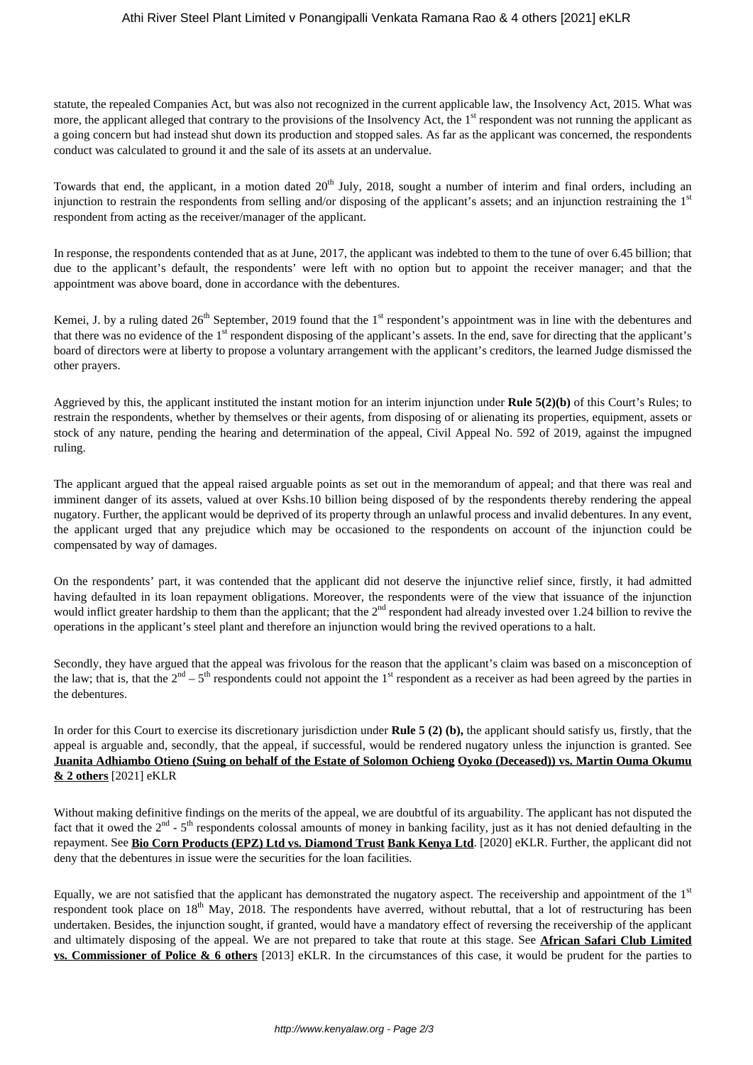### Athi River Steel Plant Limited v Ponangipalli Venkata Ramana Rao & 4 others [2021] eKLR

statute, the repealed Companies Act, but was also not recognized in the current applicable law, the Insolvency Act, 2015. What was more, the applicant alleged that contrary to the provisions of the Insolvency Act, the  $1<sup>st</sup>$  respondent was not running the applicant as a going concern but had instead shut down its production and stopped sales. As far as the applicant was concerned, the respondents conduct was calculated to ground it and the sale of its assets at an undervalue.

Towards that end, the applicant, in a motion dated  $20<sup>th</sup>$  July, 2018, sought a number of interim and final orders, including an injunction to restrain the respondents from selling and/or disposing of the applicant's assets; and an injunction restraining the  $1<sup>st</sup>$ respondent from acting as the receiver/manager of the applicant.

In response, the respondents contended that as at June, 2017, the applicant was indebted to them to the tune of over 6.45 billion; that due to the applicant's default, the respondents' were left with no option but to appoint the receiver manager; and that the appointment was above board, done in accordance with the debentures.

Kemei, J. by a ruling dated  $26<sup>th</sup>$  September, 2019 found that the 1<sup>st</sup> respondent's appointment was in line with the debentures and that there was no evidence of the 1<sup>st</sup> respondent disposing of the applicant's assets. In the end, save for directing that the applicant's board of directors were at liberty to propose a voluntary arrangement with the applicant's creditors, the learned Judge dismissed the other prayers.

Aggrieved by this, the applicant instituted the instant motion for an interim injunction under **Rule 5(2)(b)** of this Court's Rules; to restrain the respondents, whether by themselves or their agents, from disposing of or alienating its properties, equipment, assets or stock of any nature, pending the hearing and determination of the appeal, Civil Appeal No. 592 of 2019, against the impugned ruling.

The applicant argued that the appeal raised arguable points as set out in the memorandum of appeal; and that there was real and imminent danger of its assets, valued at over Kshs.10 billion being disposed of by the respondents thereby rendering the appeal nugatory. Further, the applicant would be deprived of its property through an unlawful process and invalid debentures. In any event, the applicant urged that any prejudice which may be occasioned to the respondents on account of the injunction could be compensated by way of damages.

On the respondents' part, it was contended that the applicant did not deserve the injunctive relief since, firstly, it had admitted having defaulted in its loan repayment obligations. Moreover, the respondents were of the view that issuance of the injunction would inflict greater hardship to them than the applicant; that the  $2<sup>nd</sup>$  respondent had already invested over 1.24 billion to revive the operations in the applicant's steel plant and therefore an injunction would bring the revived operations to a halt.

Secondly, they have argued that the appeal was frivolous for the reason that the applicant's claim was based on a misconception of the law; that is, that the  $2<sup>nd</sup> - 5<sup>th</sup>$  respondents could not appoint the 1<sup>st</sup> respondent as a receiver as had been agreed by the parties in the debentures.

In order for this Court to exercise its discretionary jurisdiction under **Rule 5 (2) (b),** the applicant should satisfy us, firstly, that the appeal is arguable and, secondly, that the appeal, if successful, would be rendered nugatory unless the injunction is granted. See **Juanita Adhiambo Otieno (Suing on behalf of the Estate of Solomon Ochieng Oyoko (Deceased)) vs. Martin Ouma Okumu & 2 others** [2021] eKLR

Without making definitive findings on the merits of the appeal, we are doubtful of its arguability. The applicant has not disputed the fact that it owed the  $2^{nd}$  -  $5^{th}$  respondents colossal amounts of money in banking facility, just as it has not denied defaulting in the repayment. See **Bio Corn Products (EPZ) Ltd vs. Diamond Trust Bank Kenya Ltd**. [2020] eKLR. Further, the applicant did not deny that the debentures in issue were the securities for the loan facilities.

Equally, we are not satisfied that the applicant has demonstrated the nugatory aspect. The receivership and appointment of the  $1<sup>st</sup>$ respondent took place on 18<sup>th</sup> May, 2018. The respondents have averred, without rebuttal, that a lot of restructuring has been undertaken. Besides, the injunction sought, if granted, would have a mandatory effect of reversing the receivership of the applicant and ultimately disposing of the appeal. We are not prepared to take that route at this stage. See **African Safari Club Limited vs. Commissioner of Police & 6 others** [2013] eKLR. In the circumstances of this case, it would be prudent for the parties to